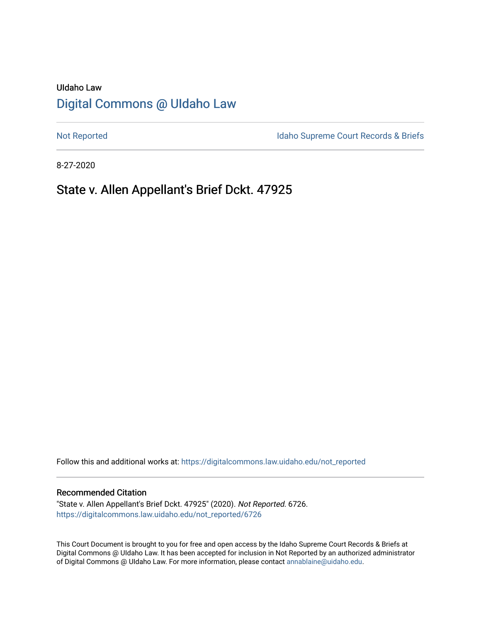# UIdaho Law [Digital Commons @ UIdaho Law](https://digitalcommons.law.uidaho.edu/)

[Not Reported](https://digitalcommons.law.uidaho.edu/not_reported) **Idaho Supreme Court Records & Briefs** 

8-27-2020

# State v. Allen Appellant's Brief Dckt. 47925

Follow this and additional works at: [https://digitalcommons.law.uidaho.edu/not\\_reported](https://digitalcommons.law.uidaho.edu/not_reported?utm_source=digitalcommons.law.uidaho.edu%2Fnot_reported%2F6726&utm_medium=PDF&utm_campaign=PDFCoverPages) 

#### Recommended Citation

"State v. Allen Appellant's Brief Dckt. 47925" (2020). Not Reported. 6726. [https://digitalcommons.law.uidaho.edu/not\\_reported/6726](https://digitalcommons.law.uidaho.edu/not_reported/6726?utm_source=digitalcommons.law.uidaho.edu%2Fnot_reported%2F6726&utm_medium=PDF&utm_campaign=PDFCoverPages)

This Court Document is brought to you for free and open access by the Idaho Supreme Court Records & Briefs at Digital Commons @ UIdaho Law. It has been accepted for inclusion in Not Reported by an authorized administrator of Digital Commons @ UIdaho Law. For more information, please contact [annablaine@uidaho.edu](mailto:annablaine@uidaho.edu).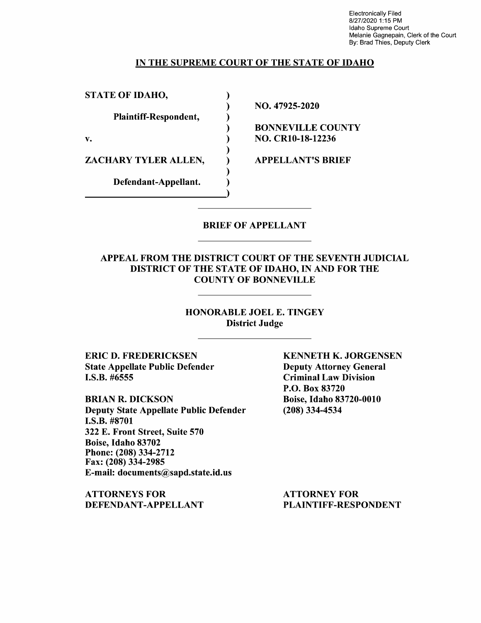Electronically Filed 8/27/2020 1:15 PM Idaho Supreme Court Melanie Gagnepain, Clerk of the Court By: Brad Thies, Deputy Clerk

### IN THE SUPREME COURT OF THE STATE OF IDAHO

) ) ) ) ) ) ) ) )

STATE OF IDAHO,

Plaintiff-Respondent,

v.

ZACHARY TYLER ALLEN,

Defendant-Appellant.

NO. 47925-2020

BONNEVILLE COUNTY NO. CRl0-18-12236

APPELLANT'S BRIEF

## BRIEF OF APPELLANT

## APPEAL FROM THE DISTRICT COURT OF THE SEVENTH JUDICIAL DISTRICT OF THE STATE OF IDAHO, IN AND FOR THE COUNTY OF BONNEVILLE

HONORABLE JOEL E. TINGEY District Judge

ERIC D. FREDERICKSEN State Appellate Public Defender **I.S.B.** #6555

**BRIAN R. DICKSON**  Deputy State Appellate Public Defender **I.S.B.** #8701 322 E. Front Street, Suite 570 Boise, Idaho 83702 Phone:(208)334-2712 Fax: (208) 334-2985 E-mail: documents@sapd.state.id.us

**ATTORNEYS FOR DEFENDANT-APPELLANT**  **KENNETH K. JORGENSEN**  Deputy Attorney General Criminal Law Division P.O. Box 83720 Boise, Idaho 83720-0010 (208) 334-4534

ATTORNEY FOR PLAINTIFF-RESPONDENT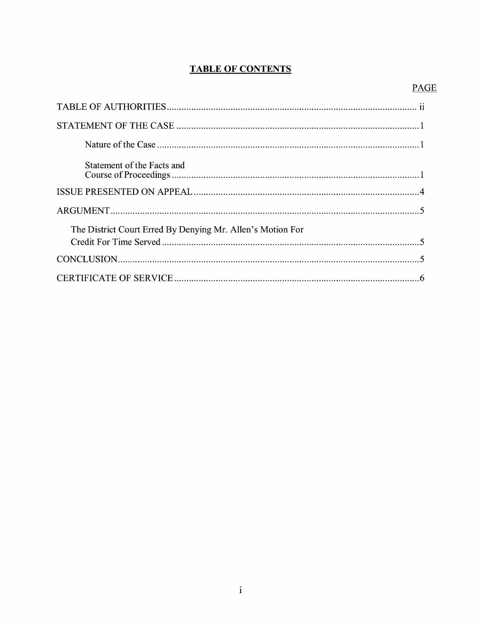## **TABLE OF CONTENTS**

## **PAGE**

| Statement of the Facts and                                 |
|------------------------------------------------------------|
|                                                            |
|                                                            |
| The District Court Erred By Denying Mr. Allen's Motion For |
|                                                            |
|                                                            |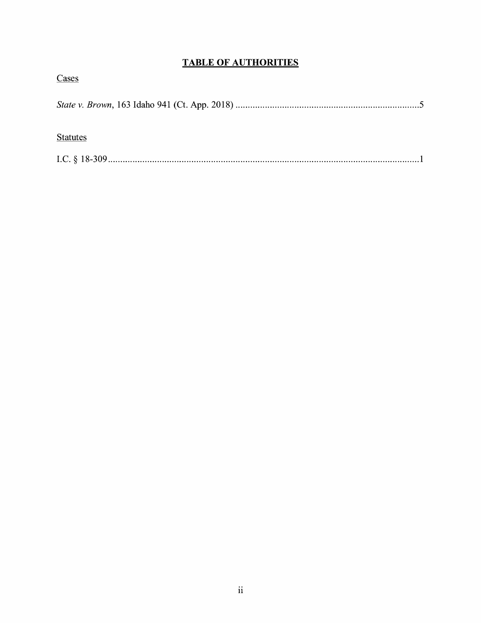## **TABLE OF AUTHORITIES**

| Cases           |  |
|-----------------|--|
|                 |  |
| <b>Statutes</b> |  |
|                 |  |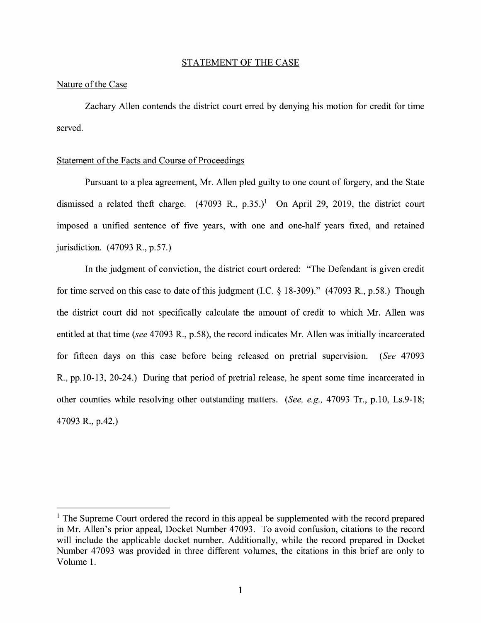#### STATEMENT OF THE CASE

### Nature of the Case

Zachary Allen contends the district court erred by denying his motion for credit for time served.

### Statement of the Facts and Course of Proceedings

Pursuant to a plea agreement, Mr. Allen pled guilty to one count of forgery, and the State dismissed a related theft charge.  $(47093 \text{ R}., p.35.)$ <sup>1</sup> On April 29, 2019, the district court imposed a unified sentence of five years, with one and one-half years fixed, and retained jurisdiction. (47093 R., p.57.)

In the judgment of conviction, the district court ordered: "The Defendant is given credit for time served on this case to date of this judgment (LC. § 18-309)." (47093 R., p.58.) Though the district court did not specifically calculate the amount of credit to which Mr. Allen was entitled at that time *(see* 47093 R., p.58), the record indicates Mr. Allen was initially incarcerated for fifteen days on this case before being released on pretrial supervision. *(See* 47093 R., pp.10-13, 20-24.) During that period of pretrial release, he spent some time incarcerated in other counties while resolving other outstanding matters. *(See, e.g.,* 4 7093 Tr., p.10, Ls.9-18; 47093 R., p.42.)

 $<sup>1</sup>$  The Supreme Court ordered the record in this appeal be supplemented with the record prepared</sup> in Mr. Allen's prior appeal, Docket Number 47093. To avoid confusion, citations to the record will include the applicable docket number. Additionally, while the record prepared in Docket Number 47093 was provided in three different volumes, the citations in this brief are only to Volume 1.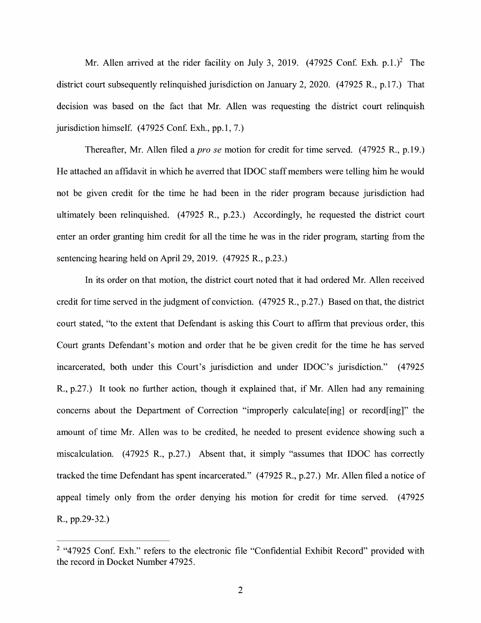Mr. Allen arrived at the rider facility on July 3, 2019. (47925 Conf. Exh. p.1.)<sup>2</sup> The district court subsequently relinquished jurisdiction on January 2, 2020.  $(47925 \text{ R}., p.17.)$  That decision was based on the fact that Mr. Allen was requesting the district court relinquish jurisdiction himself.  $(47925 \text{ Conf.} \text{Exh.}, \text{pp.1}, 7.)$ 

Thereafter, Mr. Allen filed a *pro se* motion for credit for time served. (47925 R., p.19.) He attached an affidavit in which he averred that IDOC staff members were telling him he would not be given credit for the time he had been in the rider program because jurisdiction had ultimately been relinquished. (47925 R., p.23.) Accordingly, he requested the district court enter an order granting him credit for all the time he was in the rider program, starting from the sentencing hearing held on April 29, 2019. (47925 R., p.23.)

In its order on that motion, the district court noted that it had ordered Mr. Allen received credit for time served in the judgment of conviction. ( 47925 R., p.27.) Based on that, the district court stated, "to the extent that Defendant is asking this Court to affirm that previous order, this Court grants Defendant's motion and order that he be given credit for the time he has served incarcerated, both under this Court's jurisdiction and under IDOC's jurisdiction." (47925 R., p.27.) It took no further action, though it explained that, if Mr. Allen had any remaining concerns about the Department of Correction "improperly calculate[ing] or record[ing]" the amount of time Mr. Allen was to be credited, he needed to present evidence showing such a miscalculation. (47925 R., p.27.) Absent that, it simply "assumes that IDOC has correctly tracked the time Defendant has spent incarcerated." (47925 R., p.27.) Mr. Allen filed a notice of appeal timely only from the order denying his motion for credit for time served. (47925) R., pp.29-32.)

 $2$  "47925 Conf. Exh." refers to the electronic file "Confidential Exhibit Record" provided with the record in Docket Number 47925.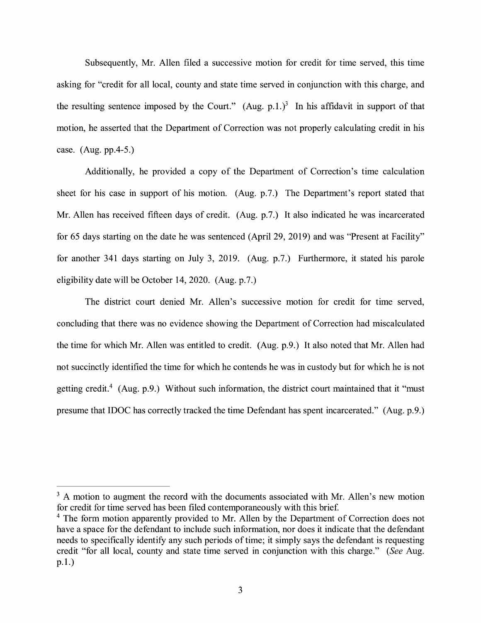Subsequently, Mr. Allen filed a successive motion for credit for time served, this time asking for "credit for all local, county and state time served in conjunction with this charge, and the resulting sentence imposed by the Court." (Aug. p.1.)<sup>3</sup> In his affidavit in support of that motion, he asserted that the Department of Correction was not properly calculating credit in his case. (Aug. pp.4-5.)

Additionally, he provided a copy of the Department of Correction's time calculation sheet for his case in support of his motion. (Aug. p.7.) The Department's report stated that Mr. Allen has received fifteen days of credit. (Aug. p.7.) It also indicated he was incarcerated for 65 days starting on the date he was sentenced (April 29, 2019) and was "Present at Facility" for another 341 days starting on July 3, 2019. (Aug. p.7.) Furthermore, it stated his parole eligibility date will be October 14, 2020. (Aug. p.7.)

The district court denied Mr. Allen's successive motion for credit for time served, concluding that there was no evidence showing the Department of Correction had miscalculated the time for which Mr. Allen was entitled to credit. (Aug. p.9.) It also noted that Mr. Allen had not succinctly identified the time for which he contends he was in custody but for which he is not getting credit.<sup>4</sup> (Aug. p.9.) Without such information, the district court maintained that it "must" presume that IDOC has correctly tracked the time Defendant has spent incarcerated." (Aug. p.9.)

 $3 \text{ A}$  motion to augment the record with the documents associated with Mr. Allen's new motion for credit for time served has been filed contemporaneously with this brief

<sup>&</sup>lt;sup>4</sup> The form motion apparently provided to Mr. Allen by the Department of Correction does not have a space for the defendant to include such information, nor does it indicate that the defendant needs to specifically identify any such periods of time; it simply says the defendant is requesting credit "for all local, county and state time served in conjunction with this charge." *(See* Aug. p.1.)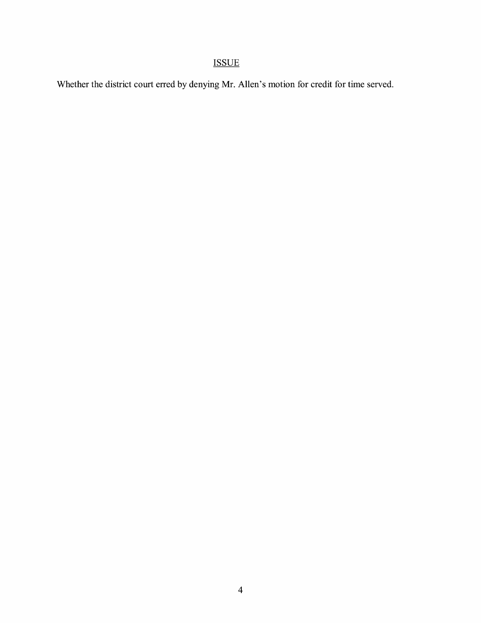# ISSUE

Whether the district court erred by denying Mr. Allen's motion for credit for time served.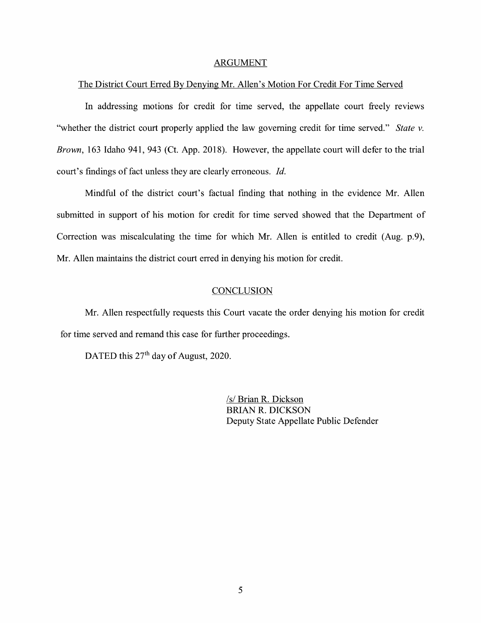#### ARGUMENT

#### The District Court Erred By Denying Mr. Allen's Motion For Credit For Time Served

In addressing motions for credit for time served, the appellate court freely reviews "whether the district court properly applied the law governing credit for time served." *State v. Brown,* 163 Idaho 941, 943 (Ct. App. 2018). However, the appellate court will defer to the trial court's findings of fact unless they are clearly erroneous. Id.

Mindful of the district court's factual finding that nothing in the evidence Mr. Allen submitted in support of his motion for credit for time served showed that the Department of Correction was miscalculating the time for which Mr. Allen is entitled to credit (Aug. p.9), Mr. Allen maintains the district court erred in denying his motion for credit.

### **CONCLUSION**

Mr. Allen respectfully requests this Court vacate the order denying his motion for credit for time served and remand this case for further proceedings.

DATED this 27<sup>th</sup> day of August, 2020.

/s/ Brian R. Dickson BRIAN R. DICKSON Deputy State Appellate Public Defender